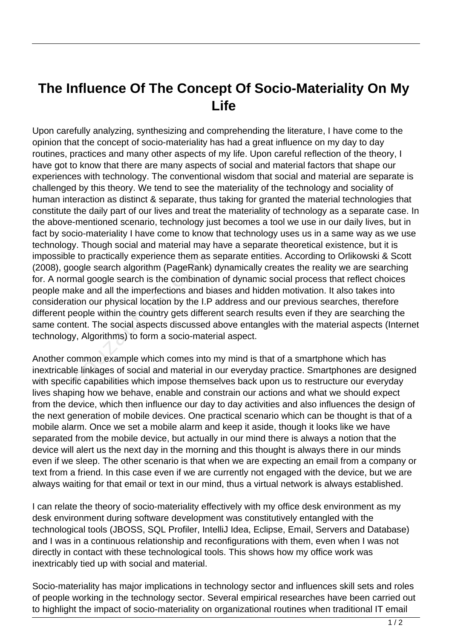## **The Influence Of The Concept Of Socio-Materiality On My Life**

Upon carefully analyzing, synthesizing and comprehending the literature, I have come to the opinion that the concept of socio-materiality has had a great influence on my day to day routines, practices and many other aspects of my life. Upon careful reflection of the theory, I have got to know that there are many aspects of social and material factors that shape our experiences with technology. The conventional wisdom that social and material are separate is challenged by this theory. We tend to see the materiality of the technology and sociality of human interaction as distinct & separate, thus taking for granted the material technologies that constitute the daily part of our lives and treat the materiality of technology as a separate case. In the above-mentioned scenario, technology just becomes a tool we use in our daily lives, but in fact by socio-materiality I have come to know that technology uses us in a same way as we use technology. Though social and material may have a separate theoretical existence, but it is impossible to practically experience them as separate entities. According to Orlikowski & Scott (2008), google search algorithm (PageRank) dynamically creates the reality we are searching for. A normal google search is the combination of dynamic social process that reflect choices people make and all the imperfections and biases and hidden motivation. It also takes into consideration our physical location by the I.P address and our previous searches, therefore different people within the country gets different search results even if they are searching the same content. The social aspects discussed above entangles with the material aspects (Internet technology, Algorithms) to form a socio-material aspect. et to practically experience them as<br>ogle search algorithm (PageRank<br>nal google search is the combinati<br>ke and all the imperfections and b<br>ion our physical location by the I.F<br>eople within the country gets differ<br>ent. The

Another common example which comes into my mind is that of a smartphone which has inextricable linkages of social and material in our everyday practice. Smartphones are designed with specific capabilities which impose themselves back upon us to restructure our everyday lives shaping how we behave, enable and constrain our actions and what we should expect from the device, which then influence our day to day activities and also influences the design of the next generation of mobile devices. One practical scenario which can be thought is that of a mobile alarm. Once we set a mobile alarm and keep it aside, though it looks like we have separated from the mobile device, but actually in our mind there is always a notion that the device will alert us the next day in the morning and this thought is always there in our minds even if we sleep. The other scenario is that when we are expecting an email from a company or text from a friend. In this case even if we are currently not engaged with the device, but we are always waiting for that email or text in our mind, thus a virtual network is always established.

I can relate the theory of socio-materiality effectively with my office desk environment as my desk environment during software development was constitutively entangled with the technological tools (JBOSS, SQL Profiler, IntelliJ Idea, Eclipse, Email, Servers and Database) and I was in a continuous relationship and reconfigurations with them, even when I was not directly in contact with these technological tools. This shows how my office work was inextricably tied up with social and material.

Socio-materiality has major implications in technology sector and influences skill sets and roles of people working in the technology sector. Several empirical researches have been carried out to highlight the impact of socio-materiality on organizational routines when traditional IT email